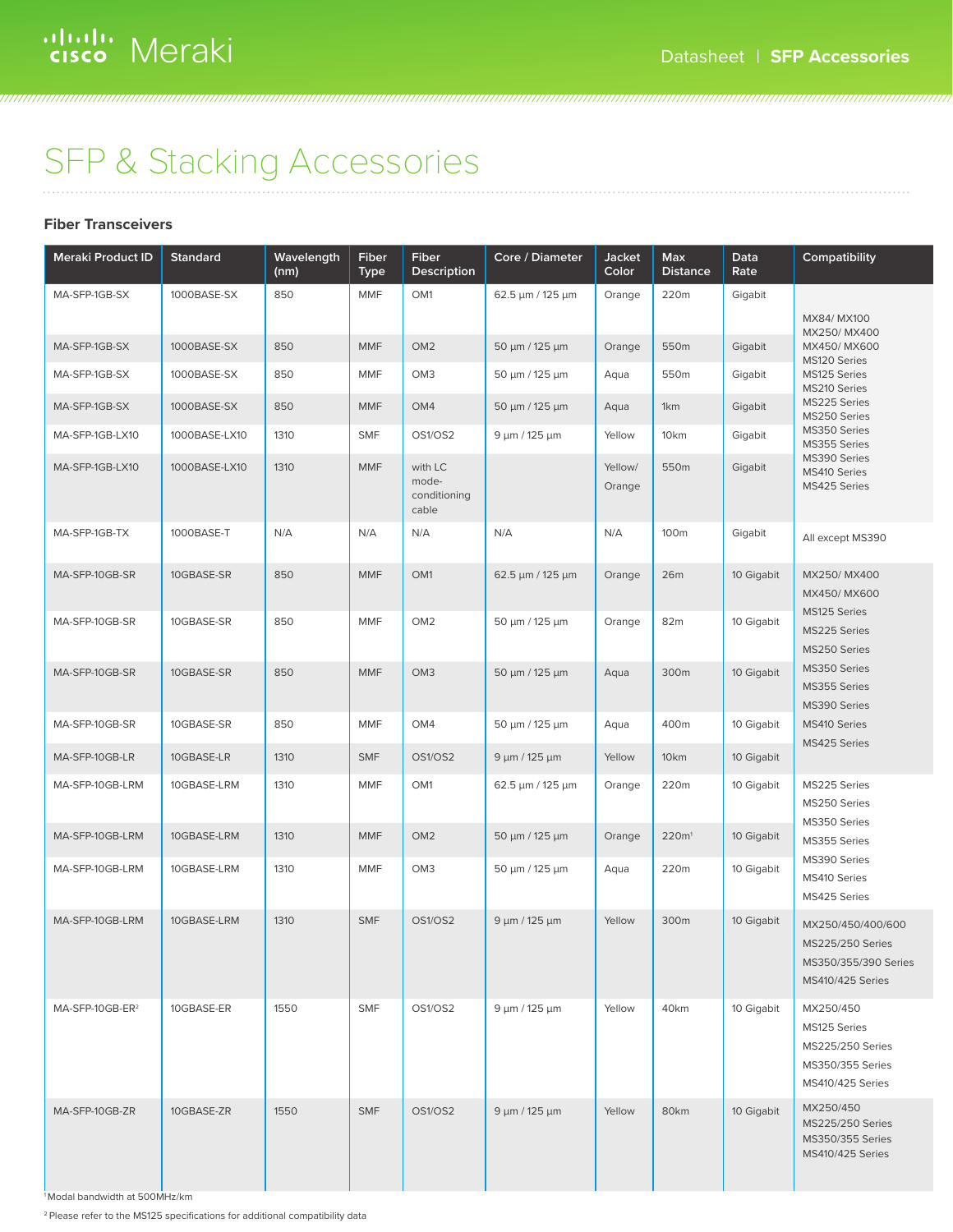777777777777777777777777777777

## SFP & Stacking Accessories

#### **Fiber Transceivers**

| <b>Meraki Product ID</b>    | <b>Standard</b> | Wavelength<br>(nm) | Fiber<br><b>Type</b> | Fiber<br>Description                      | Core / Diameter       | Jacket<br>Color   | Max<br><b>Distance</b> | Data<br>Rate | Compatibility                                                                                       |
|-----------------------------|-----------------|--------------------|----------------------|-------------------------------------------|-----------------------|-------------------|------------------------|--------------|-----------------------------------------------------------------------------------------------------|
| MA-SFP-1GB-SX               | 1000BASE-SX     | 850                | <b>MMF</b>           | OM1                                       | 62.5 µm / 125 µm      | Orange            | 220m                   | Gigabit      |                                                                                                     |
|                             |                 |                    |                      |                                           |                       |                   |                        |              | MX84/ MX100<br>MX250/MX400                                                                          |
| MA-SFP-1GB-SX               | 1000BASE-SX     | 850                | <b>MMF</b>           | OM <sub>2</sub>                           | 50 μm / 125 μm        | Orange            | 550m                   | Gigabit      | MX450/MX600<br>MS120 Series                                                                         |
| MA-SFP-1GB-SX               | 1000BASE-SX     | 850                | <b>MMF</b>           | OM <sub>3</sub>                           | 50 μm / 125 μm        | Aqua              | 550m                   | Gigabit      | MS125 Series<br>MS210 Series                                                                        |
| MA-SFP-1GB-SX               | 1000BASE-SX     | 850                | <b>MMF</b>           | OM4                                       | 50 μm / 125 μm        | Aqua              | 1km                    | Gigabit      | MS225 Series<br>MS250 Series                                                                        |
| MA-SFP-1GB-LX10             | 1000BASE-LX10   | 1310               | <b>SMF</b>           | OS1/OS2                                   | $9 \mu m / 125 \mu m$ | Yellow            | 10 <sub>km</sub>       | Gigabit      | MS350 Series<br>MS355 Series                                                                        |
| MA-SFP-1GB-LX10             | 1000BASE-LX10   | 1310               | <b>MMF</b>           | with LC<br>mode-<br>conditioning<br>cable |                       | Yellow/<br>Orange | 550m                   | Gigabit      | MS390 Series<br>MS410 Series<br>MS425 Series                                                        |
| MA-SFP-1GB-TX               | 1000BASE-T      | N/A                | N/A                  | N/A                                       | N/A                   | N/A               | 100m                   | Gigabit      | All except MS390                                                                                    |
| MA-SFP-10GB-SR              | 10GBASE-SR      | 850                | <b>MMF</b>           | OM1                                       | 62.5 µm / 125 µm      | Orange            | 26m                    | 10 Gigabit   | MX250/MX400<br>MX450/MX600                                                                          |
| MA-SFP-10GB-SR              | 10GBASE-SR      | 850                | <b>MMF</b>           | OM <sub>2</sub>                           | 50 μm / 125 μm        | Orange            | 82m                    | 10 Gigabit   | MS125 Series<br>MS225 Series<br>MS250 Series                                                        |
| MA-SFP-10GB-SR              | 10GBASE-SR      | 850                | <b>MMF</b>           | OM <sub>3</sub>                           | 50 µm / 125 µm        | Aqua              | 300m                   | 10 Gigabit   | MS350 Series<br>MS355 Series<br>MS390 Series                                                        |
| MA-SFP-10GB-SR              | 10GBASE-SR      | 850                | <b>MMF</b>           | OM4                                       | 50 μm / 125 μm        | Aqua              | 400m                   | 10 Gigabit   | MS410 Series<br>MS425 Series                                                                        |
| MA-SFP-10GB-LR              | 10GBASE-LR      | 1310               | <b>SMF</b>           | OS1/OS2                                   | $9 \mu m / 125 \mu m$ | Yellow            | 10km                   | 10 Gigabit   |                                                                                                     |
| MA-SFP-10GB-LRM             | 10GBASE-LRM     | 1310               | <b>MMF</b>           | OM1                                       | 62.5 µm / 125 µm      | Orange            | 220m                   | 10 Gigabit   | MS225 Series<br>MS250 Series<br>MS350 Series                                                        |
| MA-SFP-10GB-LRM             | 10GBASE-LRM     | 1310               | <b>MMF</b>           | OM <sub>2</sub>                           | 50 μm / 125 μm        | Orange            | 220m <sup>1</sup>      | 10 Gigabit   | MS355 Series                                                                                        |
| MA-SFP-10GB-LRM             | 10GBASE-LRM     | 1310               | <b>MMF</b>           | OM <sub>3</sub>                           | 50 μm / 125 μm        | Aqua              | 220m                   | 10 Gigabit   | MS390 Series<br>MS410 Series<br>MS425 Series                                                        |
| MA-SFP-10GB-LRM             | 10GBASE-LRM     | 1310               | <b>SMF</b>           | OS1/OS2                                   | 9 µm / 125 µm         | Yellow            | 300m                   | 10 Gigabit   | MX250/450/400/600<br><b>MS225/250 Series</b><br>MS350/355/390 Series<br><b>MS410/425 Series</b>     |
| MA-SFP-10GB-ER <sup>2</sup> | 10GBASE-ER      | 1550               | <b>SMF</b>           | OS1/OS2                                   | $9 \mu m / 125 \mu m$ | Yellow            | 40km                   | 10 Gigabit   | MX250/450<br>MS125 Series<br><b>MS225/250 Series</b><br>MS350/355 Series<br><b>MS410/425 Series</b> |
| MA-SFP-10GB-ZR              | 10GBASE-ZR      | 1550               | <b>SMF</b>           | OS1/OS2                                   | $9 \mu m / 125 \mu m$ | Yellow            | 80km                   | 10 Gigabit   | MX250/450<br><b>MS225/250 Series</b><br>MS350/355 Series<br><b>MS410/425 Series</b>                 |

1 Modal bandwidth at 500MHz/km

<sup>2</sup> Please refer to the MS125 specifications for additional compatibility data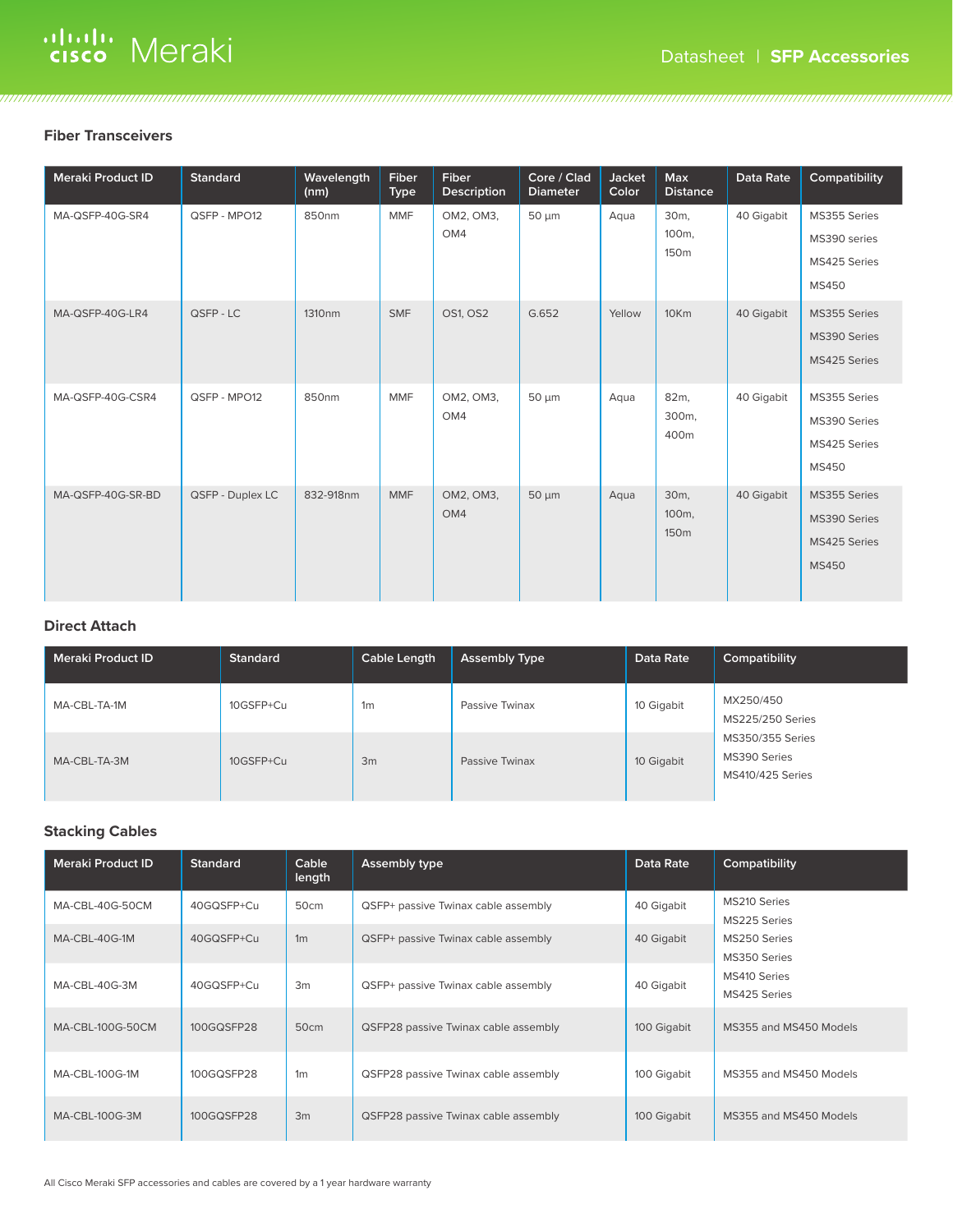# alulu Meraki

#### **Fiber Transceivers**

| <b>Meraki Product ID</b> | <b>Standard</b>  | Wavelength<br>(nm) | <b>Fiber</b><br><b>Type</b> | <b>Fiber</b><br><b>Description</b> | Core / Clad<br><b>Diameter</b> | Jacket<br>Color | <b>Max</b><br><b>Distance</b>                | Data Rate  | Compatibility                                                |
|--------------------------|------------------|--------------------|-----------------------------|------------------------------------|--------------------------------|-----------------|----------------------------------------------|------------|--------------------------------------------------------------|
| MA-QSFP-40G-SR4          | QSFP - MPO12     | 850nm              | MMF                         | OM2, OM3,<br>OM4                   | $50 \mu m$                     | Aqua            | 30 <sub>m</sub><br>100m,<br>150m             | 40 Gigabit | MS355 Series<br>MS390 series<br>MS425 Series<br><b>MS450</b> |
| MA-QSFP-40G-LR4          | QSFP-LC          | 1310 <sub>nm</sub> | <b>SMF</b>                  | OS1, OS2                           | G.652                          | Yellow          | 10Km                                         | 40 Gigabit | MS355 Series<br>MS390 Series<br>MS425 Series                 |
| MA-QSFP-40G-CSR4         | QSFP - MPO12     | 850nm              | <b>MMF</b>                  | OM2, OM3,<br>OM4                   | 50 µm                          | Aqua            | 82m,<br>300m,<br>400m                        | 40 Gigabit | MS355 Series<br>MS390 Series<br>MS425 Series<br><b>MS450</b> |
| MA-QSFP-40G-SR-BD        | QSFP - Duplex LC | 832-918nm          | <b>MMF</b>                  | OM2, OM3,<br>OM4                   | $50 \mu m$                     | Aqua            | 30 <sub>m</sub><br>100m,<br>150 <sub>m</sub> | 40 Gigabit | MS355 Series<br>MS390 Series<br>MS425 Series<br><b>MS450</b> |

<u> 1999 - 1999 - 1999 - 1999 - 1999 - 1999 - 1999 - 1999 - 1999 - 1999 - 1999 - 1999 - 1999 - 1999 - 1999 - 1999 - 1999 - 1999 - 1999 - 1999 - 1999 - 1999 - 1999 - 1999 - 1999 - 1999 - 1999 - 1999 - 1999 - 1999 - 1999 - 199</u>

#### **Direct Attach**

| <b>Meraki Product ID</b> | <b>Standard</b> | Cable Length   | <b>Assembly Type</b> | Data Rate  | Compatibility                                               |
|--------------------------|-----------------|----------------|----------------------|------------|-------------------------------------------------------------|
| MA-CBL-TA-1M             | 10GSFP+Cu       | 1 <sub>m</sub> | Passive Twinax       | 10 Gigabit | MX250/450<br><b>MS225/250 Series</b>                        |
| MA-CBL-TA-3M             | 10GSFP+Cu       | 3m             | Passive Twinax       | 10 Gigabit | MS350/355 Series<br>MS390 Series<br><b>MS410/425 Series</b> |

#### **Stacking Cables**

| <b>Meraki Product ID</b> | <b>Standard</b> | Cable<br>length | Assembly type                        | Data Rate   | Compatibility                |
|--------------------------|-----------------|-----------------|--------------------------------------|-------------|------------------------------|
| MA-CBL-40G-50CM          | 40GQSFP+Cu      | 50cm            | QSFP+ passive Twinax cable assembly  | 40 Gigabit  | MS210 Series<br>MS225 Series |
| MA-CBL-40G-1M            | 40GQSFP+Cu      | 1 <sub>m</sub>  | QSFP+ passive Twinax cable assembly  | 40 Gigabit  | MS250 Series<br>MS350 Series |
| MA-CBL-40G-3M            | 40GQSFP+Cu      | 3m              | QSFP+ passive Twinax cable assembly  | 40 Gigabit  | MS410 Series<br>MS425 Series |
| MA-CBL-100G-50CM         | 100GQSFP28      | 50cm            | QSFP28 passive Twinax cable assembly | 100 Gigabit | MS355 and MS450 Models       |
| MA-CBL-100G-1M           | 100GQSFP28      | 1 <sub>m</sub>  | QSFP28 passive Twinax cable assembly | 100 Gigabit | MS355 and MS450 Models       |
| MA-CBL-100G-3M           | 100GQSFP28      | 3m              | QSFP28 passive Twinax cable assembly | 100 Gigabit | MS355 and MS450 Models       |